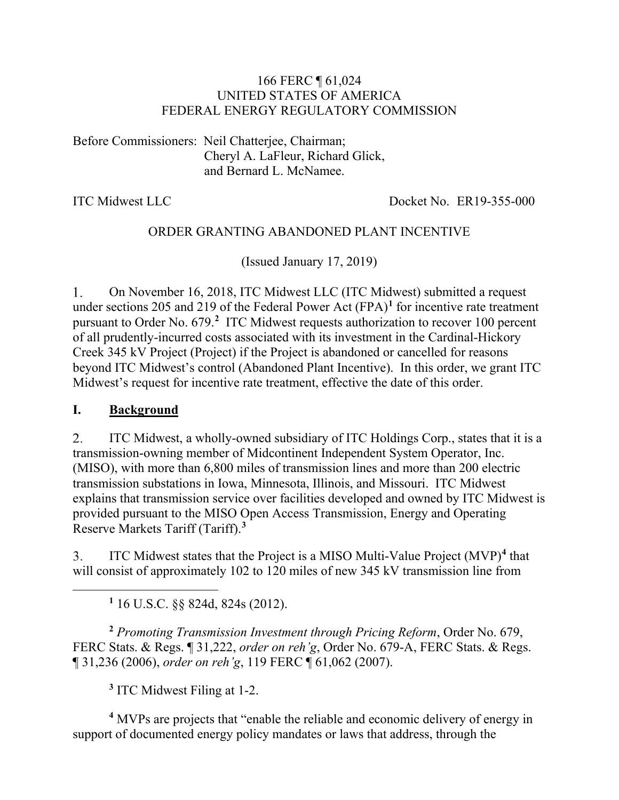#### 166 FERC ¶ 61,024 UNITED STATES OF AMERICA FEDERAL ENERGY REGULATORY COMMISSION

Before Commissioners: Neil Chatterjee, Chairman; Cheryl A. LaFleur, Richard Glick, and Bernard L. McNamee.

ITC Midwest LLC Docket No. ER19-355-000

### ORDER GRANTING ABANDONED PLANT INCENTIVE

(Issued January 17, 2019)

On November 16, 2018, ITC Midwest LLC (ITC Midwest) submitted a request 1. under sections 205 and 219 of the Federal Power Act (FPA) **[1](#page-0-0)** for incentive rate treatment pursuant to Order No. 679.**[2](#page-0-1)** ITC Midwest requests authorization to recover 100 percent of all prudently-incurred costs associated with its investment in the Cardinal-Hickory Creek 345 kV Project (Project) if the Project is abandoned or cancelled for reasons beyond ITC Midwest's control (Abandoned Plant Incentive). In this order, we grant ITC Midwest's request for incentive rate treatment, effective the date of this order.

### **I. Background**

<span id="page-0-0"></span> $\overline{a}$ 

ITC Midwest, a wholly-owned subsidiary of ITC Holdings Corp., states that it is a 2. transmission-owning member of Midcontinent Independent System Operator, Inc. (MISO), with more than 6,800 miles of transmission lines and more than 200 electric transmission substations in Iowa, Minnesota, Illinois, and Missouri. ITC Midwest explains that transmission service over facilities developed and owned by ITC Midwest is provided pursuant to the MISO Open Access Transmission, Energy and Operating Reserve Markets Tariff (Tariff).**[3](#page-0-2)**

3. ITC Midwest states that the Project is a MISO Multi-Value Project (MVP)**[4](#page-0-3)** that will consist of approximately 102 to 120 miles of new 345 kV transmission line from

**<sup>1</sup>** 16 U.S.C. §§ 824d, 824s (2012).

<span id="page-0-1"></span>**<sup>2</sup>** *Promoting Transmission Investment through Pricing Reform*, Order No. 679, FERC Stats. & Regs. ¶ 31,222, *order on reh'g*, Order No. 679-A, FERC Stats. & Regs. ¶ 31,236 (2006), *order on reh'g*, 119 FERC ¶ 61,062 (2007).

**<sup>3</sup>** ITC Midwest Filing at 1-2.

<span id="page-0-3"></span><span id="page-0-2"></span>**<sup>4</sup>** MVPs are projects that "enable the reliable and economic delivery of energy in support of documented energy policy mandates or laws that address, through the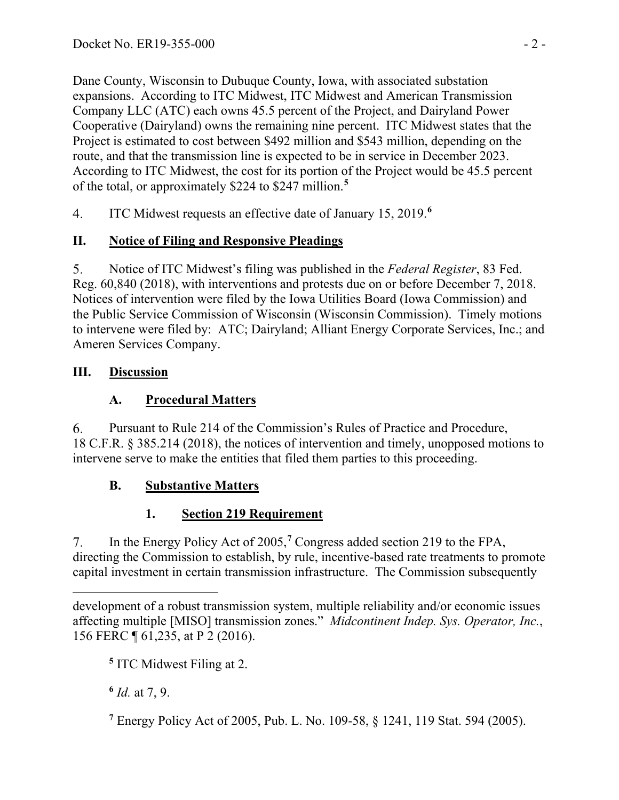Dane County, Wisconsin to Dubuque County, Iowa, with associated substation expansions. According to ITC Midwest, ITC Midwest and American Transmission Company LLC (ATC) each owns 45.5 percent of the Project, and Dairyland Power Cooperative (Dairyland) owns the remaining nine percent. ITC Midwest states that the Project is estimated to cost between \$492 million and \$543 million, depending on the route, and that the transmission line is expected to be in service in December 2023. According to ITC Midwest, the cost for its portion of the Project would be 45.5 percent of the total, or approximately \$224 to \$247 million.**[5](#page-1-0)**

ITC Midwest requests an effective date of January 15, 2019.**[6](#page-1-1)**  $4.$ 

# **II. Notice of Filing and Responsive Pleadings**

5. Notice of ITC Midwest's filing was published in the *Federal Register*, 83 Fed. Reg. 60,840 (2018), with interventions and protests due on or before December 7, 2018. Notices of intervention were filed by the Iowa Utilities Board (Iowa Commission) and the Public Service Commission of Wisconsin (Wisconsin Commission). Timely motions to intervene were filed by: ATC; Dairyland; Alliant Energy Corporate Services, Inc.; and Ameren Services Company.

## **III. Discussion**

# **A. Procedural Matters**

6. Pursuant to Rule 214 of the Commission's Rules of Practice and Procedure, 18 C.F.R. § 385.214 (2018), the notices of intervention and timely, unopposed motions to intervene serve to make the entities that filed them parties to this proceeding.

# **B. Substantive Matters**

# **1. Section 219 Requirement**

In the Energy Policy Act of 2005,**[7](#page-1-2)** Congress added section 219 to the FPA,  $7<sub>1</sub>$ directing the Commission to establish, by rule, incentive-based rate treatments to promote capital investment in certain transmission infrastructure. The Commission subsequently

**<sup>5</sup>** ITC Midwest Filing at 2.

<span id="page-1-1"></span>**<sup>6</sup>** *Id.* at 7, 9.

<span id="page-1-2"></span>**<sup>7</sup>** Energy Policy Act of 2005, Pub. L. No. 109-58, § 1241, 119 Stat. 594 (2005).

<span id="page-1-0"></span> $\overline{a}$ development of a robust transmission system, multiple reliability and/or economic issues affecting multiple [MISO] transmission zones." *Midcontinent Indep. Sys. Operator, Inc.*, 156 FERC ¶ 61,235, at P 2 (2016).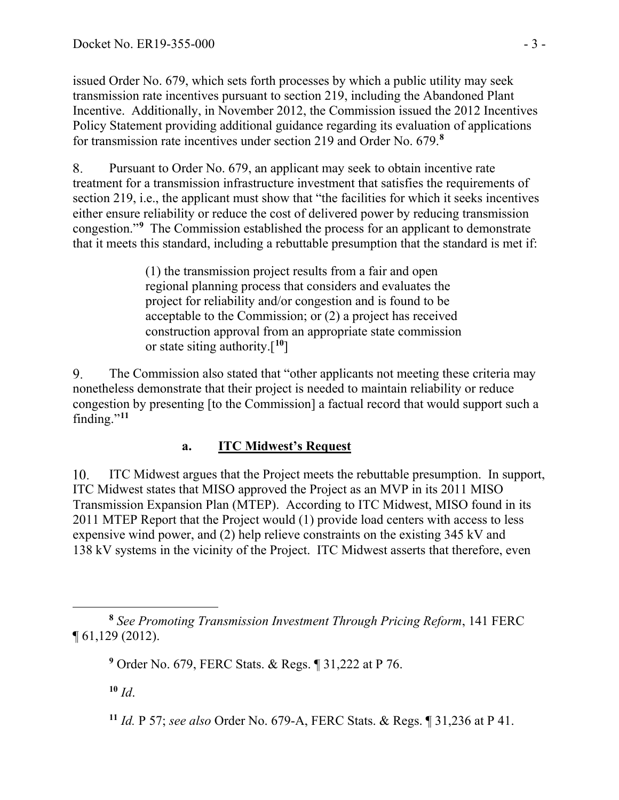issued Order No. 679, which sets forth processes by which a public utility may seek transmission rate incentives pursuant to section 219, including the Abandoned Plant Incentive. Additionally, in November 2012, the Commission issued the 2012 Incentives Policy Statement providing additional guidance regarding its evaluation of applications for transmission rate incentives under section 219 and Order No. 679.**[8](#page-2-0)**

8. Pursuant to Order No. 679, an applicant may seek to obtain incentive rate treatment for a transmission infrastructure investment that satisfies the requirements of section 219, i.e., the applicant must show that "the facilities for which it seeks incentives either ensure reliability or reduce the cost of delivered power by reducing transmission congestion."**[9](#page-2-1)** The Commission established the process for an applicant to demonstrate that it meets this standard, including a rebuttable presumption that the standard is met if:

> (1) the transmission project results from a fair and open regional planning process that considers and evaluates the project for reliability and/or congestion and is found to be acceptable to the Commission; or (2) a project has received construction approval from an appropriate state commission or state siting authority.[**[10](#page-2-2)**]

 $9<sub>1</sub>$ The Commission also stated that "other applicants not meeting these criteria may nonetheless demonstrate that their project is needed to maintain reliability or reduce congestion by presenting [to the Commission] a factual record that would support such a finding."**[11](#page-2-3)**

# **a. ITC Midwest's Request**

10. ITC Midwest argues that the Project meets the rebuttable presumption. In support, ITC Midwest states that MISO approved the Project as an MVP in its 2011 MISO Transmission Expansion Plan (MTEP). According to ITC Midwest, MISO found in its 2011 MTEP Report that the Project would (1) provide load centers with access to less expensive wind power, and (2) help relieve constraints on the existing 345 kV and 138 kV systems in the vicinity of the Project. ITC Midwest asserts that therefore, even

<span id="page-2-2"></span> $10 \, \text{Id}$ .

<span id="page-2-1"></span><span id="page-2-0"></span> $\overline{a}$ **<sup>8</sup>** *See Promoting Transmission Investment Through Pricing Reform*, 141 FERC ¶ 61,129 (2012).

**<sup>9</sup>** Order No. 679, FERC Stats. & Regs. ¶ 31,222 at P 76.

<span id="page-2-3"></span>**<sup>11</sup>** *Id.* P 57; *see also* Order No. 679-A, FERC Stats. & Regs. ¶ 31,236 at P 41.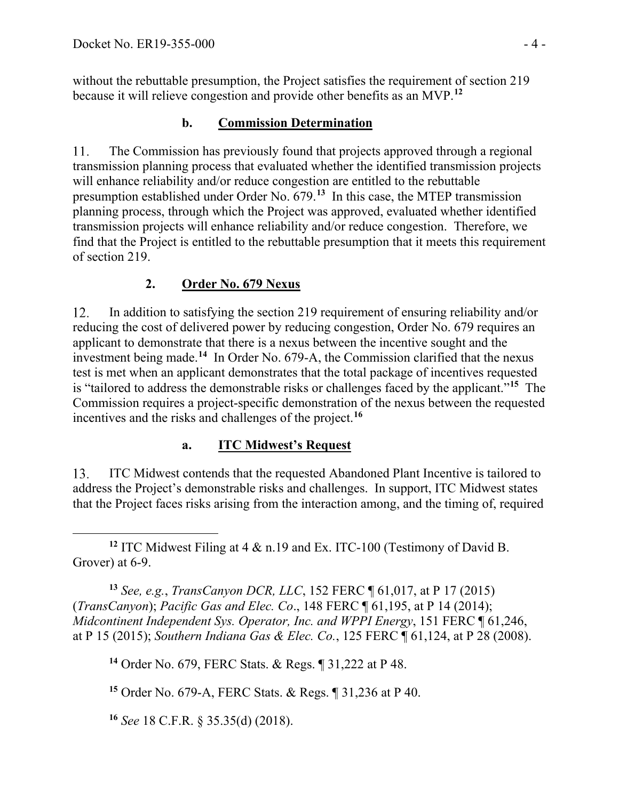without the rebuttable presumption, the Project satisfies the requirement of section 219 because it will relieve congestion and provide other benefits as an MVP.**[12](#page-3-0)**

## **b. Commission Determination**

The Commission has previously found that projects approved through a regional 11. transmission planning process that evaluated whether the identified transmission projects will enhance reliability and/or reduce congestion are entitled to the rebuttable presumption established under Order No. 679.**[13](#page-3-1)** In this case, the MTEP transmission planning process, through which the Project was approved, evaluated whether identified transmission projects will enhance reliability and/or reduce congestion. Therefore, we find that the Project is entitled to the rebuttable presumption that it meets this requirement of section 219.

# **2. Order No. 679 Nexus**

12. In addition to satisfying the section 219 requirement of ensuring reliability and/or reducing the cost of delivered power by reducing congestion, Order No. 679 requires an applicant to demonstrate that there is a nexus between the incentive sought and the investment being made.**[14](#page-3-2)** In Order No. 679-A, the Commission clarified that the nexus test is met when an applicant demonstrates that the total package of incentives requested is "tailored to address the demonstrable risks or challenges faced by the applicant."**[15](#page-3-3)** The Commission requires a project-specific demonstration of the nexus between the requested incentives and the risks and challenges of the project.**[16](#page-3-4)**

## **a. ITC Midwest's Request**

13. ITC Midwest contends that the requested Abandoned Plant Incentive is tailored to address the Project's demonstrable risks and challenges. In support, ITC Midwest states that the Project faces risks arising from the interaction among, and the timing of, required

<span id="page-3-0"></span> $\overline{a}$ **<sup>12</sup>** ITC Midwest Filing at 4 & n.19 and Ex. ITC-100 (Testimony of David B. Grover) at 6-9.

<span id="page-3-2"></span><span id="page-3-1"></span>**<sup>13</sup>** *See, e.g.*, *TransCanyon DCR, LLC*, 152 FERC ¶ 61,017, at P 17 (2015) (*TransCanyon*); *Pacific Gas and Elec. Co*., 148 FERC ¶ 61,195, at P 14 (2014); *Midcontinent Independent Sys. Operator, Inc. and WPPI Energy*, 151 FERC ¶ 61,246, at P 15 (2015); *Southern Indiana Gas & Elec. Co.*, 125 FERC ¶ 61,124, at P 28 (2008).

**<sup>14</sup>** Order No. 679, FERC Stats. & Regs. ¶ 31,222 at P 48.

<span id="page-3-3"></span>**<sup>15</sup>** Order No. 679-A, FERC Stats. & Regs. ¶ 31,236 at P 40.

<span id="page-3-4"></span>**<sup>16</sup>** *See* 18 C.F.R. § 35.35(d) (2018).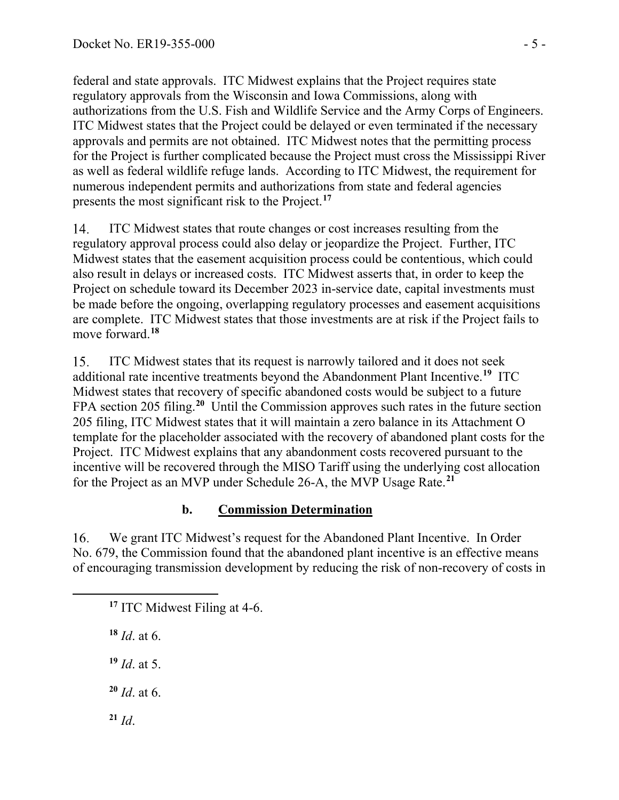federal and state approvals. ITC Midwest explains that the Project requires state regulatory approvals from the Wisconsin and Iowa Commissions, along with authorizations from the U.S. Fish and Wildlife Service and the Army Corps of Engineers. ITC Midwest states that the Project could be delayed or even terminated if the necessary approvals and permits are not obtained. ITC Midwest notes that the permitting process for the Project is further complicated because the Project must cross the Mississippi River as well as federal wildlife refuge lands. According to ITC Midwest, the requirement for numerous independent permits and authorizations from state and federal agencies presents the most significant risk to the Project.**[17](#page-4-0)**

14. ITC Midwest states that route changes or cost increases resulting from the regulatory approval process could also delay or jeopardize the Project. Further, ITC Midwest states that the easement acquisition process could be contentious, which could also result in delays or increased costs. ITC Midwest asserts that, in order to keep the Project on schedule toward its December 2023 in-service date, capital investments must be made before the ongoing, overlapping regulatory processes and easement acquisitions are complete. ITC Midwest states that those investments are at risk if the Project fails to move forward.**[18](#page-4-1)**

15. ITC Midwest states that its request is narrowly tailored and it does not seek additional rate incentive treatments beyond the Abandonment Plant Incentive. **[19](#page-4-2)** ITC Midwest states that recovery of specific abandoned costs would be subject to a future FPA section 205 filing.**[20](#page-4-3)** Until the Commission approves such rates in the future section 205 filing, ITC Midwest states that it will maintain a zero balance in its Attachment O template for the placeholder associated with the recovery of abandoned plant costs for the Project. ITC Midwest explains that any abandonment costs recovered pursuant to the incentive will be recovered through the MISO Tariff using the underlying cost allocation for the Project as an MVP under Schedule 26-A, the MVP Usage Rate.**[21](#page-4-4)**

## **b. Commission Determination**

16. We grant ITC Midwest's request for the Abandoned Plant Incentive. In Order No. 679, the Commission found that the abandoned plant incentive is an effective means of encouraging transmission development by reducing the risk of non-recovery of costs in

**<sup>17</sup>** ITC Midwest Filing at 4-6.

**<sup>18</sup>** *Id*. at 6.

<span id="page-4-2"></span><span id="page-4-1"></span><span id="page-4-0"></span> $\overline{a}$ 

**<sup>19</sup>** *Id*. at 5.

<span id="page-4-3"></span>**<sup>20</sup>** *Id*. at 6.

<span id="page-4-4"></span>**<sup>21</sup>** *Id*.